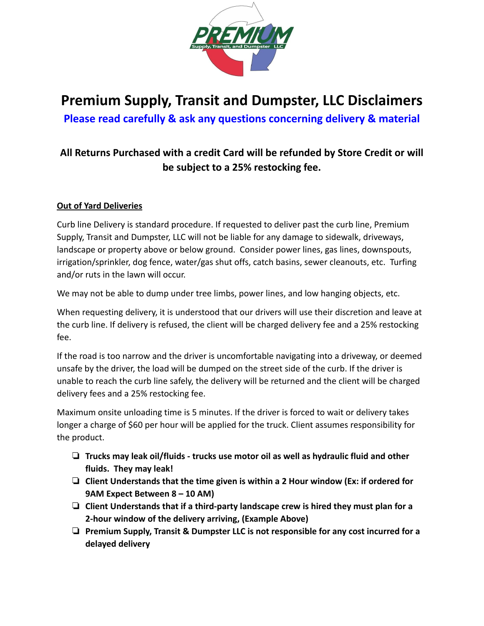

# **Premium Supply, Transit and Dumpster, LLC Disclaimers**

**Please read carefully & ask any questions concerning delivery & material**

# **All Returns Purchased with a credit Card will be refunded by Store Credit or will be subject to a 25% restocking fee.**

# **Out of Yard Deliveries**

Curb line Delivery is standard procedure. If requested to deliver past the curb line, Premium Supply, Transit and Dumpster, LLC will not be liable for any damage to sidewalk, driveways, landscape or property above or below ground. Consider power lines, gas lines, downspouts, irrigation/sprinkler, dog fence, water/gas shut offs, catch basins, sewer cleanouts, etc. Turfing and/or ruts in the lawn will occur.

We may not be able to dump under tree limbs, power lines, and low hanging objects, etc.

When requesting delivery, it is understood that our drivers will use their discretion and leave at the curb line. If delivery is refused, the client will be charged delivery fee and a 25% restocking fee.

If the road is too narrow and the driver is uncomfortable navigating into a driveway, or deemed unsafe by the driver, the load will be dumped on the street side of the curb. If the driver is unable to reach the curb line safely, the delivery will be returned and the client will be charged delivery fees and a 25% restocking fee.

Maximum onsite unloading time is 5 minutes. If the driver is forced to wait or delivery takes longer a charge of \$60 per hour will be applied for the truck. Client assumes responsibility for the product.

- ❏ **Trucks may leak oil/fluids trucks use motor oil as well as hydraulic fluid and other fluids. They may leak!**
- ❏ **Client Understands that the time given is within a 2 Hour window (Ex: if ordered for 9AM Expect Between 8 – 10 AM)**
- ❏ **Client Understands that if a third-party landscape crew is hired they must plan for a 2-hour window of the delivery arriving, (Example Above)**
- ❏ **Premium Supply, Transit & Dumpster LLC is not responsible for any cost incurred for a delayed delivery**